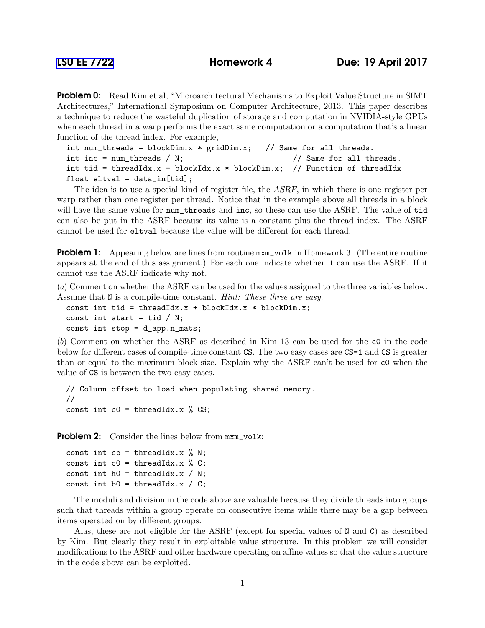**Problem 0:** Read Kim et al, "Microarchitectural Mechanisms to Exploit Value Structure in SIMT Architectures," International Symposium on Computer Architecture, 2013. This paper describes a technique to reduce the wasteful duplication of storage and computation in NVIDIA-style GPUs when each thread in a warp performs the exact same computation or a computation that's a linear function of the thread index. For example,

```
int num_threads = blockDim.x * gridDim.x; // Same for all threads.
int inc = num_threads / N; / Same for all threads.
int tid = threadIdx.x + blockIdx.x * blockDim.x; // Function of threadIdx
float eltval = data_in[tid];
```
The idea is to use a special kind of register file, the ASRF, in which there is one register per warp rather than one register per thread. Notice that in the example above all threads in a block will have the same value for num\_threads and inc, so these can use the ASRF. The value of tid can also be put in the ASRF because its value is a constant plus the thread index. The ASRF cannot be used for eltval because the value will be different for each thread.

**Problem 1:** Appearing below are lines from routine  $m \times m$  volk in Homework 3. (The entire routine appears at the end of this assignment.) For each one indicate whether it can use the ASRF. If it cannot use the ASRF indicate why not.

(*a*) Comment on whether the ASRF can be used for the values assigned to the three variables below. Assume that N is a compile-time constant. *Hint: These three are easy.*

const int tid = threadIdx. $x +$  blockIdx. $x *$  blockDim. $x$ ; const int start = tid  $/$  N; const int stop = d\_app.n\_mats;

(*b*) Comment on whether the ASRF as described in Kim 13 can be used for the c0 in the code below for different cases of compile-time constant CS. The two easy cases are CS=1 and CS is greater than or equal to the maximum block size. Explain why the ASRF can't be used for c0 when the value of CS is between the two easy cases.

```
// Column offset to load when populating shared memory.
//
const int c0 = threadIdx.x % CS;
```
Problem 2: Consider the lines below from  $m x m_v$ volk:

```
const int cb = threadIdx.x % N;const int c0 = threadIdx.x % C;
const int h0 = threadIdx.x / N;const int b0 = threadIdx.x / C;
```
The moduli and division in the code above are valuable because they divide threads into groups such that threads within a group operate on consecutive items while there may be a gap between items operated on by different groups.

Alas, these are not eligible for the ASRF (except for special values of N and C) as described by Kim. But clearly they result in exploitable value structure. In this problem we will consider modifications to the ASRF and other hardware operating on affine values so that the value structure in the code above can be exploited.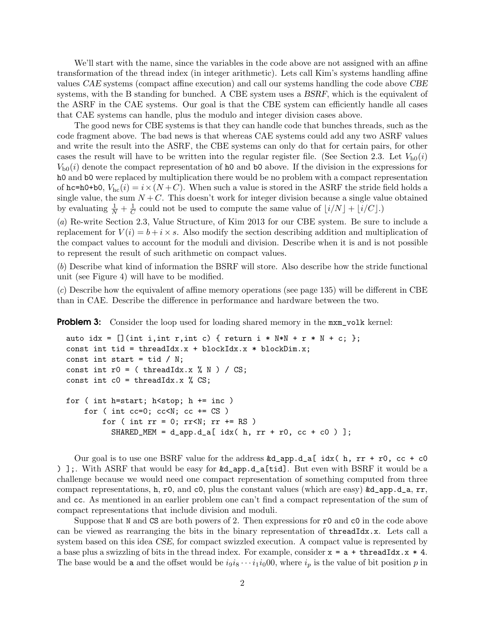We'll start with the name, since the variables in the code above are not assigned with an affine transformation of the thread index (in integer arithmetic). Lets call Kim's systems handling affine values CAE systems (compact affine execution) and call our systems handling the code above CBE systems, with the B standing for bunched. A CBE system uses a *BSRF*, which is the equivalent of the ASRF in the CAE systems. Our goal is that the CBE system can efficiently handle all cases that CAE systems can handle, plus the modulo and integer division cases above.

The good news for CBE systems is that they can handle code that bunches threads, such as the code fragment above. The bad news is that whereas CAE systems could add any two ASRF values and write the result into the ASRF, the CBE systems can only do that for certain pairs, for other cases the result will have to be written into the regular register file. (See Section 2.3. Let  $V_{h0}(i)$ )  $V_{b0}(i)$  denote the compact representation of h0 and b0 above. If the division in the expressions for h0 and b0 were replaced by multiplication there would be no problem with a compact representation of hc=h0+b0,  $V_{\text{hc}}(i) = i \times (N+C)$ . When such a value is stored in the ASRF the stride field holds a single value, the sum  $N + C$ . This doesn't work for integer division because a single value obtained by evaluating  $\frac{1}{N} + \frac{1}{C}$  $\frac{1}{C}$  could not be used to compute the same value of  $\lfloor i/N \rfloor + \lfloor i/C \rfloor$ .)

(*a*) Re-write Section 2.3, Value Structure, of Kim 2013 for our CBE system. Be sure to include a replacement for  $V(i) = b + i \times s$ . Also modify the section describing addition and multiplication of the compact values to account for the moduli and division. Describe when it is and is not possible to represent the result of such arithmetic on compact values.

(*b*) Describe what kind of information the BSRF will store. Also describe how the stride functional unit (see Figure 4) will have to be modified.

(*c*) Describe how the equivalent of affine memory operations (see page 135) will be different in CBE than in CAE. Describe the difference in performance and hardware between the two.

**Problem 3:** Consider the loop used for loading shared memory in the  $m \times m$ -volk kernel:

```
auto idx = [] (int i, int r, int c) { return i * N*N + r * N + c; };
const int tid = threadIdx.x + blockIdx.x * blockDim.x;
const int start = tid /N;
const int r0 = ( threadIdx.x % N ) / CS;
const int c0 = threadIdx.x % CS;for ( int h=start; h<stop; h + = inc)
    for ( int cc=0; cc< N; cc \neq C S )
        for ( int rr = 0; rr < N; rr + SNSHARED_MEM = d_app.d_a[ idx( h, rr + r0, cc + c0 ) ];
```
Our goal is to use one BSRF value for the address  $\&d$  app.d\_a[ idx(h, rr + r0, cc + c0 ) ];. With ASRF that would be easy for &d\_app.d\_a[tid]. But even with BSRF it would be a challenge because we would need one compact representation of something computed from three compact representations, h, r0, and c0, plus the constant values (which are easy)  $\&d$ <sub>-app.d\_a</sub>, rr, and cc. As mentioned in an earlier problem one can't find a compact representation of the sum of compact representations that include division and moduli.

Suppose that N and CS are both powers of 2. Then expressions for  $r$ 0 and  $c$ 0 in the code above can be viewed as rearranging the bits in the binary representation of threadIdx.x. Lets call a system based on this idea CSE, for compact swizzled execution. A compact value is represented by a base plus a swizzling of bits in the thread index. For example, consider  $x = a + threadIdx.x * 4$ . The base would be a and the offset would be  $i_9i_8 \cdots i_1i_000$ , where  $i_p$  is the value of bit position p in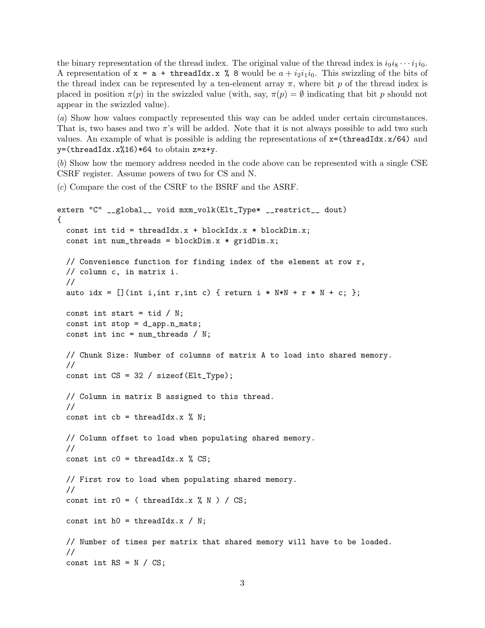the binary representation of the thread index. The original value of the thread index is  $i_9i_8 \cdots i_1i_0$ . A representation of  $x = a + \text{threadIdx.x}$  % 8 would be  $a + i_2i_1i_0$ . This swizzling of the bits of the thread index can be represented by a ten-element array  $\pi$ , where bit p of the thread index is placed in position  $\pi(p)$  in the swizzled value (with, say,  $\pi(p) = \emptyset$  indicating that bit p should not appear in the swizzled value).

(*a*) Show how values compactly represented this way can be added under certain circumstances. That is, two bases and two  $\pi$ 's will be added. Note that it is not always possible to add two such values. An example of what is possible is adding the representations of  $x=(\text{threadIdx.x}/64)$  and  $y=($ threadIdx.x%16)\*64 to obtain z=x+y.

(*b*) Show how the memory address needed in the code above can be represented with a single CSE CSRF register. Assume powers of two for CS and N.

(*c*) Compare the cost of the CSRF to the BSRF and the ASRF.

```
extern "C" __global__ void mxm_volk(Elt_Type* __restrict__ dout)
{
  const int tid = threadIdx.x +blockIdx.x *blockDim.x;
  const int num_threads = blockDim.x * gridDim.x;// Convenience function for finding index of the element at row r,
  // column c, in matrix i.
  //
  auto idx = [ (int i, int r, int c) { return i * N*N + r * N + c; };
  const int start = tid /N;
  const int stop = d app.n_mats;
  const int inc = num_threads / N;
 // Chunk Size: Number of columns of matrix A to load into shared memory.
  //
  const int CS = 32 / sizeof(Elt_Type);
 // Column in matrix B assigned to this thread.
  //
  const int cb = threadIdx.x % N;// Column offset to load when populating shared memory.
  //
  const int c0 = threadIdx.x % CS;// First row to load when populating shared memory.
  //
  const int r0 = ( threadIdx.x % N ) / CS;
  const int h0 = threadIdx.x / N;// Number of times per matrix that shared memory will have to be loaded.
  //
  const int RS = N / CS;
```